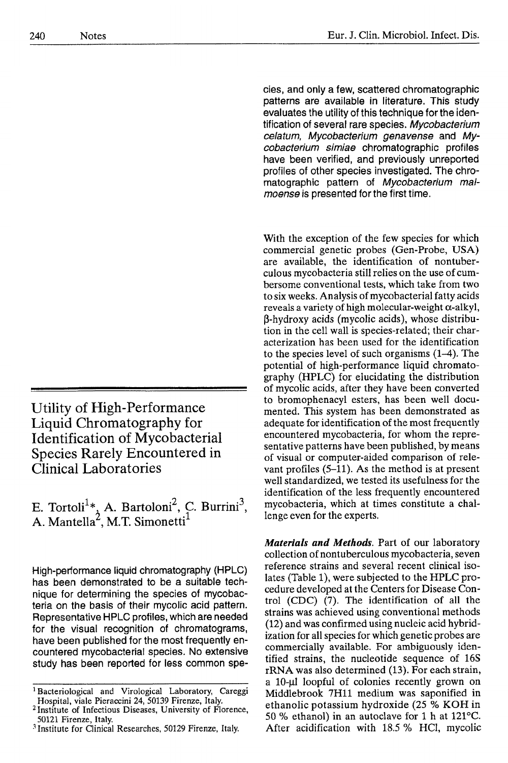**Utility of High-Performance Liquid Chromatography for Identification of Mycobacterial Species Rarely Encountered in Clinical Laboratories** 

E. Tortoli<sup>1</sup><sup>\*</sup><sub>3</sub></sub> A. Bartoloni<sup>2</sup>, C. Burrini<sup>3</sup>, A. Mantella<sup>2</sup>, M.T. Simonetti

High-performance liquid chromatography (HPLC) has been demonstrated to be a suitable technique for determining the species of mycobacteria on the basis of their mycolic acid pattern. Representative HPLC profiles, which are needed for the visual recognition of chromatograms, have been published for the most frequently encountered mycobacterial species. No extensive study has been reported for less common species, and only a few, scattered chromatographic patterns are available in literature. This study evaluates the utility of this technique for the identification of several rare species. *Mycobacterium celatum, Mycobacterium genavense* and *Mycobacterium simiae* chromatographic profiles have been verified, and previously unreported profiles of other species investigated. The chromatographic pattern of *Mycobacterium malmoense* is presented for the first time.

With the exception of the few species for which commercial genetic probes (Gen-Probe, USA) are available, the identification of nontuberculous mycobacteria still relies on the use of cumbersome conventional tests, which take from two to six weeks. Analysis of mycobacterial fatty acids reveals a variety of high molecular-weight  $\alpha$ -alkyl,  $\beta$ -hydroxy acids (mycolic acids), whose distribution in the cell wall is species-related; their characterization has been used for the identification to the species level of such organisms (1-4). The potential of high-performance liquid chromatography (HPLC) for elucidating the distribution of mycolic acids, after they have been converted to bromophenacyl esters, has been well documented. This system has been demonstrated as adequate for identification of the most frequently encountered mycobacteria, for whom the representative patterns have been published, by means of visual or computer-aided comparison of relevant profiles (5-11). As the method is at present well standardized, we tested its usefulness for the identification of the less frequently encountered mycobacteria, which at times constitute a challenge even for the experts.

*Materials and Methods.* Part of our laboratory collection of nontuberculous mycobacteria, seven reference strains and several recent clinical isolates (Table 1), were subjected to the HPLC procedure developed at the Centers for Disease Control (CDC) (7). The identification of all the strains was achieved using conventional methods (12) and was confirmed using nucleic acid hybridization for all species for which genetic probes are commercially available. For ambiguously identified strains, the nucleotide sequence of 16S rRNA was also determined (13). For each strain, a 10- $\mu$ l loopful of colonies recently grown on Middlebrook 7Hll medium was saponified in ethanolic potassium hydroxide (25 % KOH in 50 % ethanol) in an autoclave for 1 h at 121°C. After acidification with 18.5 % HC1, mycolic

<sup>&</sup>lt;sup>1</sup> Bacteriological and Virological Laboratory, Careggi Hospital, viale Pieraccini 24, 50139 Firenze, Italy.

<sup>&</sup>lt;sup>2</sup> Institute of Infectious Diseases, University of Florence, 50121 Firenze, Italy.

<sup>3</sup> Institute for Clinical Researches, 50129 Firenze, Italy.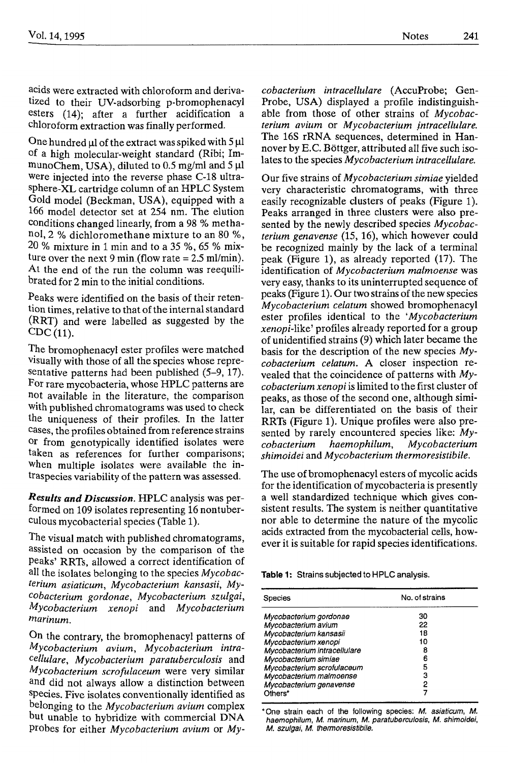acids were extracted with chloroform and derivatized to their UV-adsorbing p-bromophenacyl esters (14); after a further acidification a chloroform extraction was finally performed.

One hundred  $\mu$  of the extract was spiked with 5  $\mu$ l of a high molecular-weight standard (Ribi; ImmunoChem, USA), diluted to 0.5 mg/ml and  $5 \mu$ l were injected into the reverse phase C-18 ultrasphere-XL cartridge column of an HPLC System Gold model (Beckman, USA), equipped with a 166 model detector set at 254 nm. The elution conditions changed linearly, from a 98 % methanol, 2 % dichloromethane mixture to an 80 %, 20 % mixture in 1 min and to a 35 %, 65 % mixture over the next 9 min (flow rate  $= 2.5$  ml/min). At the end of the run the column was reequitibrated for 2 min to the initial conditions.

Peaks were identified on the basis of their retention times, relative to that of the internal standard (RRT) and were labelled as suggested by the CDC (11).

The bromophenacyl ester profiles were matched visually with those of all the species whose representative patterns had been published (5-9, 17). For rare mycobacteria, whose HPLC patterns are not available in the literature, the comparison with published chromatograms was used to check the uniqueness of their profiles. In the latter cases, the profiles obtained from reference strains or from genotypically identified isolates were taken as references for further comparisons; when multiple isolates were available the intraspecies variability of the pattern was assessed.

*Results and Discussion.* HPLC analysis was performed on 109 isolates representing 16 nontubereulous mycobacterial species (Table 1).

The visual match with published chromatograms, assisted on occasion by the comparison of the peaks' RRTs, allowed a correct identification of all the isolates belonging to the species *Mycobacterium asiaticum, Mycobacterium kansasii, Mycobacterium gordonae, Mycobacterium szulgai, Mycobacterium xenopi* and *Mycobacterium marinum.* 

On the contrary, the bromophenacyl patterns of *Mycobacterium avium, Mycobacterium intracellulare, Mycobacterium paratuberculosis* and *Mycobacterium scrofulaceum* were very similar and did not always allow a distinction between Species. Five isolates conventionally identified as belonging to the *Mycobacterium avium* complex but unable to hybridize with commercial DNA probes for either *Mycobacterium avium* or *My-* *cobacterium intracellulare* (AccuProbe; Gen-Probe, USA) displayed a profile indistinguishable from those of other strains of *Mycobacterium avium* or *Mycobacterium jntracellulare.*  The 16S rRNA sequences, determined in Hannover by E.C. Böttger, attributed all five such isolates to the species *Mycobacterium intracellulare.* 

Our five strains of *Mycobacterium simiae* yielded very characteristic chromatograms, with three easily recognizable dusters of peaks (Figure 1). Peaks arranged in three clusters were also presented by the newly described species *Mycobacterium genavense* (15, 16), which however could be recognized mainly by the lack of a terminal peak (Figure 1), as already reported (17). The identification of *Mycobacterium malmoense* was very easy, thanks to its uninterrupted sequence of peaks (Figure 1). Our two strains of the new species *Mycobacterium celatum* showed bromophenacyl ester profiles identical to the *'Mycobacterium xenopi-like'* profiles already reported for a group of unidentified strains (9) which later became the basis for the description of the new species *Mycobacterium celatum.* A closer inspection revealed that the coincidence of patterns with *Mycobacteriurn xenopi* is limited to the first cluster of peaks, as those of the second one, although similar, can be differentiated on the basis of their RRTs (Figure 1). Unique profiles were also presented by rarely encountered species like: *Mycobacterium haemophilum, Mycobacterium shimoidei* and *Mycobacterium thermoresistibile.* 

The use of bromophenacyl esters of mycolic acids for the identification of mycobacteria is presently a well standardized technique which gives consistent results. The system is neither quantitative nor able to determine the nature of the mycolic acids extracted from the mycobacterial cells, however it is suitable for rapid species identifications.

**Table 1:** Strains subjected to HPLC analysis.

| Species                      | No. of strains |
|------------------------------|----------------|
| Mycobacterium gordonae       | 30             |
| Mycobacterium avium          | 22             |
| Mycobacterium kansasii       | 18             |
| Mycobacterium xenopi         | 10             |
| Mycobacterium intracellulare | 8              |
| Mycobacterium simiae         | 6              |
| Mycobacterium scrofulaceum   | 5              |
| Mycobacterium malmoense      | з              |
| Mycobacterium genavense      | 2              |
| Others*                      |                |

\*One strain each of the following species: *M. asiaticum, M. haemophilum, M. mafinurn, M. paratuberculosis, M. shimoidei, M. szulgai, M. thermoreaish'bile.*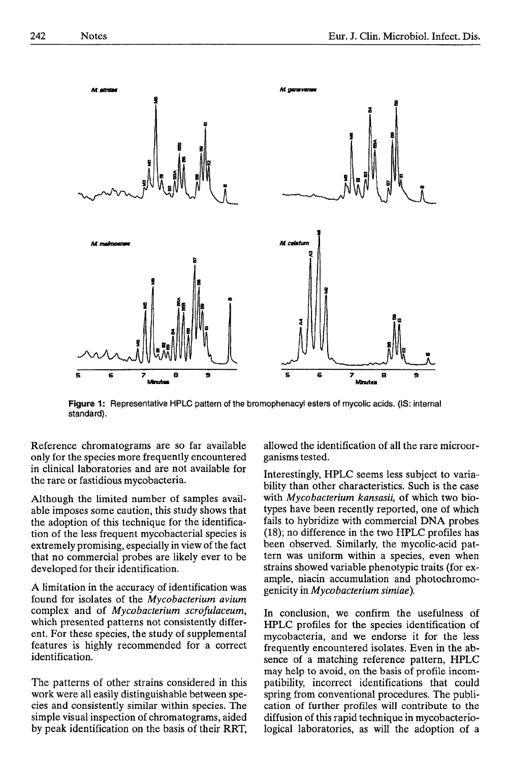

**Figure 1:** Representative HPLC pattern of the bromophenacyl esters of mycolic acids. (IS: internal standard).

Reference chromatograms are so far available only for the species more frequently encountered in clinical laboratories and are not available for the rare or fastidious mycobacteria.

Although the limited number of samples available imposes some caution, this study shows that the adoption of this technique for the identification of the less frequent mycobacterial species is extremely promising, especially in view of the fact that no commercial probes are likely ever to be developed for their identification.

A limitation in the accuracy of identification was found for isolates of the *Mycobacteriurn avium*  complex and of *Mycobacterium scrofulaceum,*  which presented patterns not consistently different. For these species, the study of supplemental features is highly recommended for a correct identification.

The patterns of other strains considered in this work were all easily distinguishable between species and consistently similar within species. The simple visual inspection of chromatograms, aided by peak identification on the basis of their RRT,

allowed the identification of all the rare microorganisms tested.

Interestingly, HPLC seems less subject to variability than other characteristics. Such is the case with *Mycobacterium kansasii*, of which two biotypes have been recently reported, one of which fails to hybridize with commercial DNA probes (18); no difference in the two HPLC profiles has been observed. Similarly, the mycolic-acid pattern was uniform within a species, even when strains showed variable phenotypic traits (for example, niacin accumulation and photochromogenicity in *Mycobacterium simiae ).* 

In conclusion, we confirm the usefulness of HPLC profiles for the species identification of mycobacteria, and we endorse it for the less frequently encountered isolates. Even in the absence of a matching relerence pattern, HPLC may help to avoid, on the basis of profile incompatibility, incorrect identifications that could spring from conventional procedures. The publication of further profiles will contribute to the diffusion of this rapid technique in mycobacteriological laboratories, as will the adoption of a